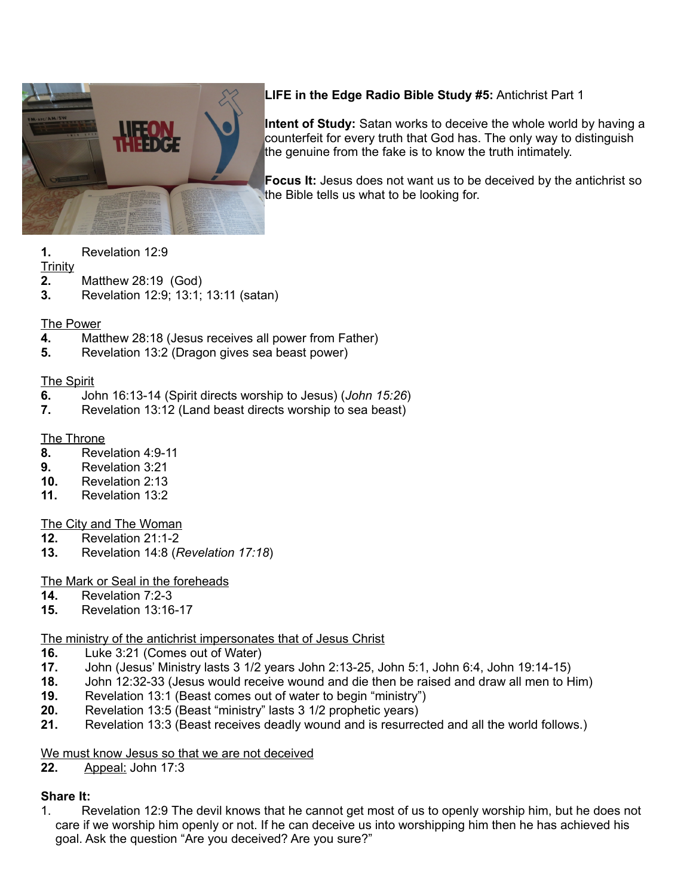

**LIFE in the Edge Radio Bible Study #5:** Antichrist Part 1

**Intent of Study:** Satan works to deceive the whole world by having a counterfeit for every truth that God has. The only way to distinguish the genuine from the fake is to know the truth intimately.

**Focus It:** Jesus does not want us to be deceived by the antichrist so the Bible tells us what to be looking for.

**1.** Revelation 12:9

### **Trinity**

- **2.** Matthew 28:19 (God)
- **3.** Revelation 12:9; 13:1; 13:11 (satan)

## The Power

- **4.** Matthew 28:18 (Jesus receives all power from Father)
- **5.** Revelation 13:2 (Dragon gives sea beast power)

## The Spirit

- **6.** John 16:13-14 (Spirit directs worship to Jesus) (*John 15:26*)
- **7.** Revelation 13:12 (Land beast directs worship to sea beast)

## The Throne

- **8.** Revelation 4:9-11
- **9.** Revelation 3:21
- **10.** Revelation 2:13
- **11.** Revelation 13:2

# The City and The Woman

- **12.** Revelation 21:1-2
- **13.** Revelation 14:8 (*Revelation 17:18*)

# The Mark or Seal in the foreheads

- **14.** Revelation 7:2-3
- **15.** Revelation 13:16-17

# The ministry of the antichrist impersonates that of Jesus Christ

- **16.** Luke 3:21 (Comes out of Water)
- **17.** John (Jesus' Ministry lasts 3 1/2 years John 2:13-25, John 5:1, John 6:4, John 19:14-15)
- **18.** John 12:32-33 (Jesus would receive wound and die then be raised and draw all men to Him)
- **19.** Revelation 13:1 (Beast comes out of water to begin "ministry")
- **20.** Revelation 13:5 (Beast "ministry" lasts 3 1/2 prophetic years)
- **21.** Revelation 13:3 (Beast receives deadly wound and is resurrected and all the world follows.)

## We must know Jesus so that we are not deceived

**22.** Appeal: John 17:3

# **Share It:**

1. Revelation 12:9 The devil knows that he cannot get most of us to openly worship him, but he does not care if we worship him openly or not. If he can deceive us into worshipping him then he has achieved his goal. Ask the question "Are you deceived? Are you sure?"